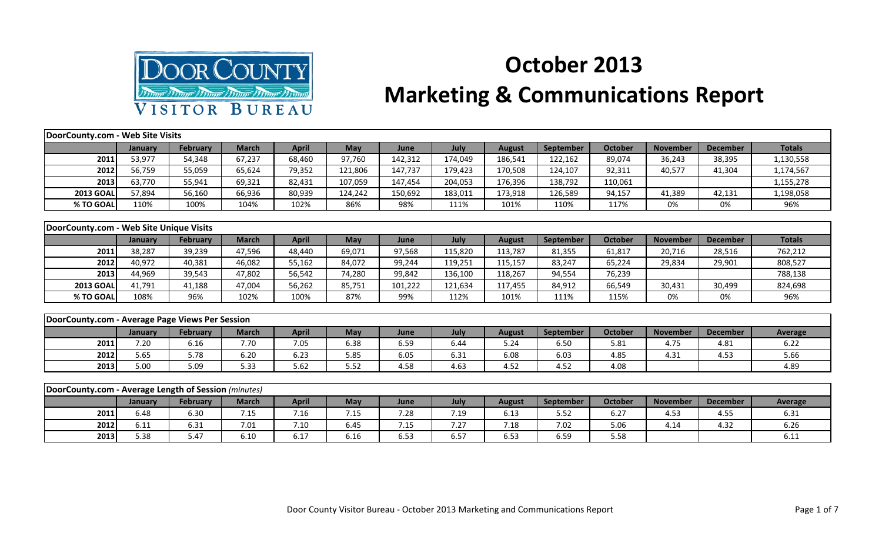

## **October 2013**

## **Marketing & Communications Report**

| DoorCounty.com - Web Site Visits                     |         |                 |              |              |            |         |         |               |           |                |                 |                 |                |
|------------------------------------------------------|---------|-----------------|--------------|--------------|------------|---------|---------|---------------|-----------|----------------|-----------------|-----------------|----------------|
|                                                      | January | <b>February</b> | <b>March</b> | <b>April</b> | May        | June    | July    | <b>August</b> | September | <b>October</b> | <b>November</b> | <b>December</b> | <b>Totals</b>  |
| 2011                                                 | 53,977  | 54,348          | 67,237       | 68,460       | 97,760     | 142,312 | 174,049 | 186,541       | 122,162   | 89,074         | 36,243          | 38,395          | 1,130,558      |
| 2012                                                 | 56,759  | 55,059          | 65,624       | 79,352       | 121,806    | 147,737 | 179,423 | 170,508       | 124,107   | 92,311         | 40,577          | 41,304          | 1,174,567      |
| 2013                                                 | 63,770  | 55,941          | 69,321       | 82,431       | 107,059    | 147,454 | 204,053 | 176,396       | 138,792   | 110,061        |                 |                 | 1,155,278      |
| <b>2013 GOAL</b>                                     | 57,894  | 56,160          | 66,936       | 80,939       | 124,242    | 150,692 | 183,011 | 173,918       | 126,589   | 94,157         | 41,389          | 42,131          | 1,198,058      |
| % TO GOAL                                            | 110%    | 100%            | 104%         | 102%         | 86%        | 98%     | 111%    | 101%          | 110%      | 117%           | 0%              | 0%              | 96%            |
|                                                      |         |                 |              |              |            |         |         |               |           |                |                 |                 |                |
| DoorCounty.com - Web Site Unique Visits              |         |                 |              |              |            |         |         |               |           |                |                 |                 |                |
|                                                      | January | <b>February</b> | <b>March</b> | <b>April</b> | May        | June    | July    | <b>August</b> | September | <b>October</b> | <b>November</b> | <b>December</b> | <b>Totals</b>  |
| 2011                                                 | 38,287  | 39,239          | 47,596       | 48,440       | 69,071     | 97,568  | 115,820 | 113,787       | 81,355    | 61,817         | 20,716          | 28,516          | 762,212        |
| 2012                                                 | 40,972  | 40,381          | 46,082       | 55,162       | 84,072     | 99,244  | 119,251 | 115,157       | 83,247    | 65,224         | 29,834          | 29,901          | 808,527        |
| 2013                                                 | 44,969  | 39,543          | 47,802       | 56,542       | 74,280     | 99,842  | 136,100 | 118,267       | 94,554    | 76,239         |                 |                 | 788,138        |
| <b>2013 GOAL</b>                                     | 41,791  | 41,188          | 47,004       | 56,262       | 85,751     | 101,222 | 121,634 | 117,455       | 84,912    | 66,549         | 30,431          | 30,499          | 824,698        |
| % TO GOAL                                            | 108%    | 96%             | 102%         | 100%         | 87%        | 99%     | 112%    | 101%          | 111%      | 115%           | 0%              | 0%              | 96%            |
|                                                      |         |                 |              |              |            |         |         |               |           |                |                 |                 |                |
| DoorCounty.com - Average Page Views Per Session      |         |                 |              |              |            |         |         |               |           |                |                 |                 |                |
|                                                      | January | February        | <b>March</b> | <b>April</b> | May        | June    | July    | <b>August</b> | September | <b>October</b> | <b>November</b> | <b>December</b> | <b>Average</b> |
| 2011                                                 | 7.20    | 6.16            | 7.70         | 7.05         | 6.38       | 6.59    | 6.44    | 5.24          | 6.50      | 5.81           | 4.75            | 4.81            | 6.22           |
| 2012                                                 | 5.65    | 5.78            | 6.20         | 6.23         | 5.85       | 6.05    | 6.31    | 6.08          | 6.03      | 4.85           | 4.31            | 4.53            | 5.66           |
| 2013                                                 | 5.00    | 5.09            | 5.33         | 5.62         | 5.52       | 4.58    | 4.63    | 4.52          | 4.52      | 4.08           |                 |                 | 4.89           |
|                                                      |         |                 |              |              |            |         |         |               |           |                |                 |                 |                |
| DoorCounty.com - Average Length of Session (minutes) |         |                 |              |              |            |         |         |               |           |                |                 |                 |                |
|                                                      | January | February        | <b>March</b> | <b>April</b> | <b>May</b> | June    | July    | <b>August</b> | September | <b>October</b> | <b>November</b> | <b>December</b> | <b>Average</b> |
| 2011                                                 | 6.48    | 6.30            | 7.15         | 7.16         | 7.15       | 7.28    | 7.19    | 6.13          | 5.52      | 6.27           | 4.53            | 4.55            | 6.31           |
| 2012                                                 | 6.11    | 6.31            | 7.01         | 7.10         | 6.45       | 7.15    | 7.27    | 7.18          | 7.02      | 5.06           | 4.14            | 4.32            | 6.26           |

**2013** 5.38 5.47 6.10 6.17 6.16 6.53 6.57 6.53 6.53 6.59 5.58 5.58 6.11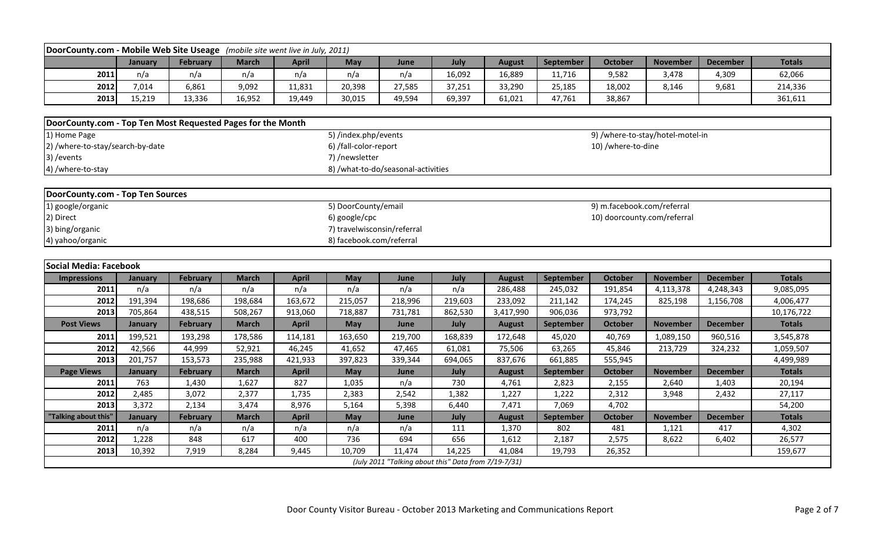| DoorCounty.com - Mobile Web Site Useage (mobile site went live in July, 2011) |                          |                 |              |              |                                    |         |                                                      |               |                  |                             |                                  |                 |               |  |
|-------------------------------------------------------------------------------|--------------------------|-----------------|--------------|--------------|------------------------------------|---------|------------------------------------------------------|---------------|------------------|-----------------------------|----------------------------------|-----------------|---------------|--|
|                                                                               | January                  | February        | <b>March</b> | <b>April</b> | <b>May</b>                         | June    | July                                                 | <b>August</b> | September        | October                     | <b>November</b>                  | <b>December</b> | <b>Totals</b> |  |
| 2011                                                                          | n/a                      | n/a             | n/a          | n/a          | n/a                                | n/a     | 16,092                                               | 16,889        | 11,716           | 9,582                       | 3,478                            | 4,309           | 62,066        |  |
| 2012                                                                          | 7,014                    | 6,861           | 9,092        | 11,831       | 20,398                             | 27,585  | 37,251                                               | 33,290        | 25,185           | 18,002                      | 8,146                            | 9,681           | 214,336       |  |
| 2013                                                                          | 15,219                   | 13,336          | 16,952       | 19,449       | 30,015                             | 49,594  | 69,397                                               | 61,021        | 47,761           | 38,867                      |                                  |                 | 361,611       |  |
|                                                                               |                          |                 |              |              |                                    |         |                                                      |               |                  |                             |                                  |                 |               |  |
| DoorCounty.com - Top Ten Most Requested Pages for the Month                   |                          |                 |              |              |                                    |         |                                                      |               |                  |                             |                                  |                 |               |  |
| 1) Home Page                                                                  |                          |                 |              |              | 5) /index.php/events               |         |                                                      |               |                  |                             | 9) /where-to-stay/hotel-motel-in |                 |               |  |
| 2) /where-to-stay/search-by-date                                              |                          |                 |              |              | 6) /fall-color-report              |         |                                                      |               |                  | 10) /where-to-dine          |                                  |                 |               |  |
| 3) / events                                                                   |                          |                 |              |              | 7) /newsletter                     |         |                                                      |               |                  |                             |                                  |                 |               |  |
| 4) /where-to-stay                                                             |                          |                 |              |              | 8) /what-to-do/seasonal-activities |         |                                                      |               |                  |                             |                                  |                 |               |  |
|                                                                               |                          |                 |              |              |                                    |         |                                                      |               |                  |                             |                                  |                 |               |  |
| <b>DoorCounty.com - Top Ten Sources</b>                                       |                          |                 |              |              |                                    |         |                                                      |               |                  |                             |                                  |                 |               |  |
| 1) google/organic                                                             |                          |                 |              |              | 5) DoorCounty/email                |         |                                                      |               |                  | 9) m.facebook.com/referral  |                                  |                 |               |  |
| 2) Direct                                                                     |                          |                 |              |              | 6) google/cpc                      |         |                                                      |               |                  | 10) doorcounty.com/referral |                                  |                 |               |  |
| 3) bing/organic                                                               |                          |                 |              |              | 7) travelwisconsin/referral        |         |                                                      |               |                  |                             |                                  |                 |               |  |
| 4) yahoo/organic                                                              | 8) facebook.com/referral |                 |              |              |                                    |         |                                                      |               |                  |                             |                                  |                 |               |  |
|                                                                               |                          |                 |              |              |                                    |         |                                                      |               |                  |                             |                                  |                 |               |  |
| <b>Social Media: Facebook</b>                                                 |                          |                 |              |              |                                    |         |                                                      |               |                  |                             |                                  |                 |               |  |
| <b>Impressions</b>                                                            | January                  | <b>February</b> | <b>March</b> | <b>April</b> | May                                | June    | July                                                 | <b>August</b> | <b>September</b> | <b>October</b>              | <b>November</b>                  | <b>December</b> | <b>Totals</b> |  |
| 2011                                                                          | n/a                      | n/a             | n/a          | n/a          | n/a                                | n/a     | n/a                                                  | 286,488       | 245,032          | 191,854                     | 4,113,378                        | 4,248,343       | 9,085,095     |  |
| 2012                                                                          | 191,394                  | 198,686         | 198,684      | 163,672      | 215,057                            | 218,996 | 219,603                                              | 233,092       | 211,142          | 174,245                     | 825,198                          | 1,156,708       | 4,006,477     |  |
| 2013                                                                          | 705,864                  | 438,515         | 508,267      | 913,060      | 718,887                            | 731,781 | 862,530                                              | 3,417,990     | 906,036          | 973,792                     |                                  |                 | 10,176,722    |  |
| <b>Post Views</b>                                                             | January                  | <b>February</b> | <b>March</b> | <b>April</b> | May                                | June    | July                                                 | <b>August</b> | September        | <b>October</b>              | <b>November</b>                  | <b>December</b> | <b>Totals</b> |  |
| 2011                                                                          | 199,521                  | 193,298         | 178,586      | 114,181      | 163,650                            | 219,700 | 168,839                                              | 172,648       | 45,020           | 40,769                      | 1,089,150                        | 960,516         | 3,545,878     |  |
| 2012                                                                          | 42,566                   | 44,999          | 52,921       | 46,245       | 41,652                             | 47,465  | 61,081                                               | 75,506        | 63,265           | 45,846                      | 213,729                          | 324,232         | 1,059,507     |  |
| 2013                                                                          | 201,757                  | 153,573         | 235,988      | 421,933      | 397,823                            | 339,344 | 694,065                                              | 837,676       | 661,885          | 555,945                     |                                  |                 | 4,499,989     |  |
| <b>Page Views</b>                                                             | January                  | <b>February</b> | <b>March</b> | <b>April</b> | May                                | June    | July                                                 | <b>August</b> | September        | <b>October</b>              | <b>November</b>                  | <b>December</b> | <b>Totals</b> |  |
| 2011                                                                          | 763                      | 1,430           | 1,627        | 827          | 1,035                              | n/a     | 730                                                  | 4,761         | 2,823            | 2,155                       | 2,640                            | 1,403           | 20,194        |  |
| 2012                                                                          | 2,485                    | 3,072           | 2,377        | 1,735        | 2,383                              | 2,542   | 1,382                                                | 1,227         | 1,222            | 2,312                       | 3,948                            | 2,432           | 27,117        |  |
| 2013                                                                          | 3,372                    | 2,134           | 3,474        | 8,976        | 5,164                              | 5,398   | 6,440                                                | 7,471         | 7,069            | 4,702                       |                                  |                 | 54,200        |  |
| "Talking about this"                                                          | January                  | <b>February</b> | <b>March</b> | <b>April</b> | May                                | June    | July                                                 | <b>August</b> | September        | <b>October</b>              | <b>November</b>                  | <b>December</b> | <b>Totals</b> |  |
| 2011                                                                          | n/a                      | n/a             | n/a          | n/a          | n/a                                | n/a     | 111                                                  | 1,370         | 802              | 481                         | 1,121                            | 417             | 4,302         |  |
| 2012                                                                          | 1,228                    | 848             | 617          | 400          | 736                                | 694     | 656                                                  | 1,612         | 2,187            | 2,575                       | 8,622                            | 6,402           | 26,577        |  |
| 2013                                                                          | 10,392                   | 7,919           | 8,284        | 9,445        | 10,709                             | 11,474  | 14,225                                               | 41,084        | 19,793           | 26,352                      |                                  |                 | 159,677       |  |
|                                                                               |                          |                 |              |              |                                    |         | (July 2011 "Talking about this" Data from 7/19-7/31) |               |                  |                             |                                  |                 |               |  |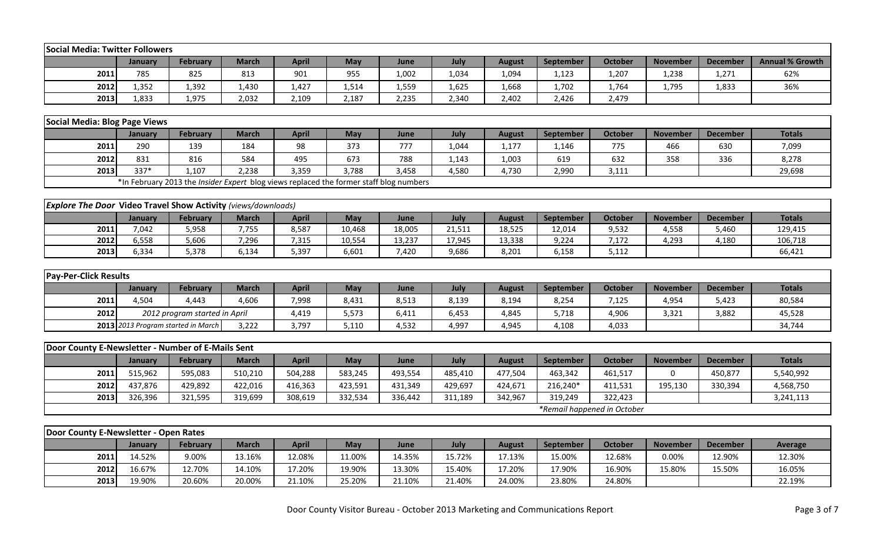| <b>Social Media: Twitter Followers</b>                               |                |                                                                                        |              |              |         |         |         |               |           |                             |                 |                 |                        |
|----------------------------------------------------------------------|----------------|----------------------------------------------------------------------------------------|--------------|--------------|---------|---------|---------|---------------|-----------|-----------------------------|-----------------|-----------------|------------------------|
|                                                                      | January        | <b>February</b>                                                                        | <b>March</b> | <b>April</b> | May     | June    | July    | <b>August</b> | September | <b>October</b>              | <b>November</b> | <b>December</b> | <b>Annual % Growth</b> |
| 2011                                                                 | 785            | 825                                                                                    | 813          | 901          | 955     | 1,002   | 1,034   | 1,094         | 1,123     | 1,207                       | 1,238           | 1,271           | 62%                    |
| 2012                                                                 | 1,352          | 1,392                                                                                  | 1,430        | 1,427        | 1,514   | 1,559   | 1,625   | 1,668         | 1,702     | 1,764                       | 1,795           | 1,833           | 36%                    |
| 2013                                                                 | 1,833          | 1,975                                                                                  | 2,032        | 2,109        | 2,187   | 2,235   | 2,340   | 2,402         | 2,426     | 2,479                       |                 |                 |                        |
|                                                                      |                |                                                                                        |              |              |         |         |         |               |           |                             |                 |                 |                        |
| <b>Social Media: Blog Page Views</b>                                 |                |                                                                                        |              |              |         |         |         |               |           |                             |                 |                 |                        |
|                                                                      | <b>January</b> | <b>February</b>                                                                        | <b>March</b> | <b>April</b> | May     | June    | July    | <b>August</b> | September | <b>October</b>              | <b>November</b> | <b>December</b> | <b>Totals</b>          |
| 2011                                                                 | 290            | 139                                                                                    | 184          | 98           | 373     | 777     | 1,044   | 1,177         | 1,146     | 775                         | 466             | 630             | 7,099                  |
| 2012                                                                 | 831            | 816                                                                                    | 584          | 495          | 673     | 788     | 1,143   | 1,003         | 619       | 632                         | 358             | 336             | 8,278                  |
| 2013                                                                 | 337*           | 1,107                                                                                  | 2,238        | 3,359        | 3,788   | 3,458   | 4,580   | 4,730         | 2,990     | 3,111                       |                 |                 | 29,698                 |
|                                                                      |                | *In February 2013 the Insider Expert blog views replaced the former staff blog numbers |              |              |         |         |         |               |           |                             |                 |                 |                        |
|                                                                      |                |                                                                                        |              |              |         |         |         |               |           |                             |                 |                 |                        |
| <b>Explore The Door Video Travel Show Activity (views/downloads)</b> |                |                                                                                        |              |              |         |         |         |               |           |                             |                 |                 |                        |
|                                                                      | January        | <b>February</b>                                                                        | <b>March</b> | <b>April</b> | May     | June    | July    | <b>August</b> | September | <b>October</b>              | <b>November</b> | <b>December</b> | <b>Totals</b>          |
| 2011                                                                 | 7,042          | 5,958                                                                                  | 7,755        | 8,587        | 10,468  | 18,005  | 21,511  | 18,525        | 12,014    | 9,532                       | 4,558           | 5,460           | 129,415                |
| 2012                                                                 | 6,558          | 5,606                                                                                  | 7,296        | 7,315        | 10,554  | 13,237  | 17,945  | 13,338        | 9,224     | 7,172                       | 4,293           | 4,180           | 106,718                |
| 2013                                                                 | 6,334          | 5,378                                                                                  | 6,134        | 5,397        | 6,601   | 7,420   | 9,686   | 8,201         | 6,158     | 5,112                       |                 |                 | 66,421                 |
|                                                                      |                |                                                                                        |              |              |         |         |         |               |           |                             |                 |                 |                        |
| <b>Pay-Per-Click Results</b>                                         |                |                                                                                        |              |              |         |         |         |               |           |                             |                 |                 |                        |
|                                                                      | January        | <b>February</b>                                                                        | <b>March</b> | <b>April</b> | May     | June    | July    | <b>August</b> | September | October                     | <b>November</b> | <b>December</b> | <b>Totals</b>          |
| 2011                                                                 | 4,504          | 4,443                                                                                  | 4,606        | 7,998        | 8,431   | 8,513   | 8,139   | 8,194         | 8,254     | 7,125                       | 4,954           | 5,423           | 80,584                 |
| 2012                                                                 |                | 2012 program started in April                                                          |              | 4,419        | 5,573   | 6,411   | 6,453   | 4,845         | 5,718     | 4,906                       | 3,321           | 3,882           | 45,528                 |
|                                                                      |                | 2013 2013 Program started in March                                                     | 3,222        | 3,797        | 5,110   | 4,532   | 4,997   | 4,945         | 4,108     | 4,033                       |                 |                 | 34,744                 |
|                                                                      |                |                                                                                        |              |              |         |         |         |               |           |                             |                 |                 |                        |
| Door County E-Newsletter - Number of E-Mails Sent                    |                |                                                                                        |              |              |         |         |         |               |           |                             |                 |                 |                        |
|                                                                      | January        | <b>February</b>                                                                        | <b>March</b> | <b>April</b> | May     | June    | July    | <b>August</b> | September | <b>October</b>              | <b>November</b> | <b>December</b> | <b>Totals</b>          |
| 2011                                                                 | 515,962        | 595,083                                                                                | 510,210      | 504,288      | 583,245 | 493,554 | 485,410 | 477,504       | 463,342   | 461,517                     | 0               | 450,877         | 5,540,992              |
| 2012                                                                 | 437,876        | 429,892                                                                                | 422,016      | 416,363      | 423,591 | 431,349 | 429,697 | 424,671       | 216,240*  | 411,531                     | 195,130         | 330,394         | 4,568,750              |
| 2013                                                                 | 326,396        | 321,595                                                                                | 319,699      | 308,619      | 332,534 | 336,442 | 311,189 | 342,967       | 319,249   | 322,423                     |                 |                 | 3,241,113              |
|                                                                      |                |                                                                                        |              |              |         |         |         |               |           | *Remail happened in October |                 |                 |                        |
|                                                                      |                |                                                                                        |              |              |         |         |         |               |           |                             |                 |                 |                        |
| Door County E-Newsletter - Open Rates                                |                |                                                                                        |              |              |         |         |         |               |           |                             |                 |                 |                        |
|                                                                      | January        | <b>February</b>                                                                        | <b>March</b> | <b>April</b> | May     | June    | July    | <b>August</b> | September | <b>October</b>              | <b>November</b> | <b>December</b> | Average                |
| 2011                                                                 | 14.52%         | 9.00%                                                                                  | 13.16%       | 12.08%       | 11.00%  | 14.35%  | 15.72%  | 17.13%        | 15.00%    | 12.68%                      | 0.00%           | 12.90%          | 12.30%                 |
| 2012                                                                 | 16.67%         | 12.70%                                                                                 | 14.10%       | 17.20%       | 19.90%  | 13.30%  | 15.40%  | 17.20%        | 17.90%    | 16.90%                      | 15.80%          | 15.50%          | 16.05%                 |
| 2013                                                                 | 19.90%         | 20.60%                                                                                 | 20.00%       | 21.10%       | 25.20%  | 21.10%  | 21.40%  | 24.00%        | 23.80%    | 24.80%                      |                 |                 | 22.19%                 |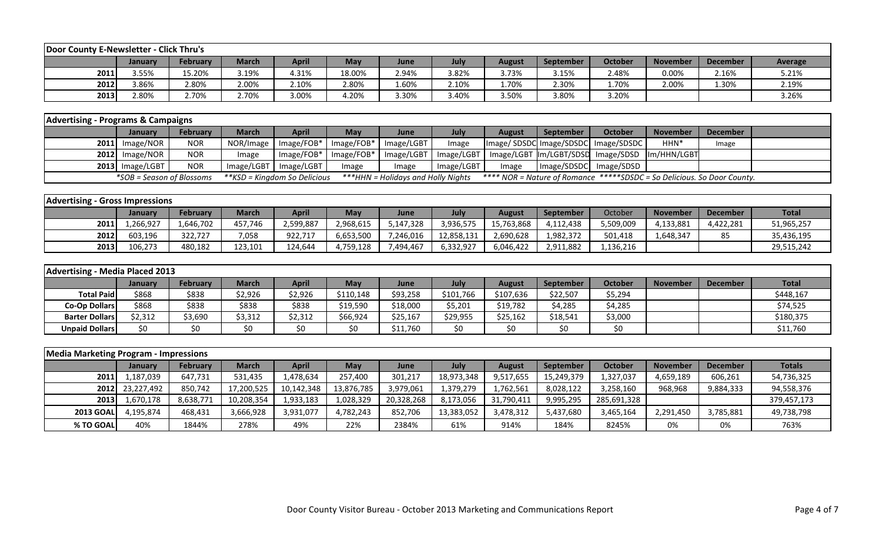| Door County E-Newsletter - Click Thru's |         |                 |              |       |            |       |       |        |                  |         |                 |                 |         |
|-----------------------------------------|---------|-----------------|--------------|-------|------------|-------|-------|--------|------------------|---------|-----------------|-----------------|---------|
|                                         | Januarv | <b>February</b> | <b>March</b> | April | <b>May</b> | June  | July  | August | <b>September</b> | October | <b>November</b> | <b>December</b> | Average |
| 2011                                    | 3.55%   | 15.20%          | 3.19%        | 4.31% | 18.00%     | 2.94% | 3.82% | 3.73%  | 3.15%            | 2.48%   | 0.00%           | 2.16%           | 5.21%   |
| 2012                                    | 3.86%   | 2.80%           | 2.00%        | 2.10% | 2.80%      | 1.60% | 4.10% | 1.70%  | 2.30%            | 1.70%   | 2.00%           | 1.30%           | 2.19%   |
| 2013                                    | 2.80%   | 2.70%           | 2.70%        | .00%  | 1.20%      | 3.30% | 3.40% | 3.50%  | 3.80%            | 3.20%   |                 |                 | 3.26%   |

| <b>Advertising - Programs &amp; Campaigns</b> |                           |                 |              |                              |                              |                                    |            |        |                  |                                                                               |                 |          |  |
|-----------------------------------------------|---------------------------|-----------------|--------------|------------------------------|------------------------------|------------------------------------|------------|--------|------------------|-------------------------------------------------------------------------------|-----------------|----------|--|
|                                               | <b>January</b>            | <b>February</b> | <b>March</b> | <b>April</b>                 | May                          | <b>June</b>                        | July       | August | <b>September</b> | October                                                                       | <b>November</b> | December |  |
|                                               | $2011$ Image/NOR          | <b>NOR</b>      |              | NOR/Image   Image/FOB*       | Image/FOB*   Image/LGBT      |                                    | Image      |        |                  | Image/SDSDC Image/SDSDC  Image/SDSDC                                          | HHN*            | Image    |  |
|                                               | $2012$ Image/NOR          | <b>NOR</b>      | Image        | Image/FOB*                   | $\lceil$ Image/FOB* $\rceil$ |                                    |            |        |                  | Image/LGBT   Image/LGBT   Image/LGBT  Im/LGBT/SDSD   Image/SDSD   Im/HHN/LGBT |                 |          |  |
|                                               | $2013$ Image/LGBT         | <b>NOR</b>      |              | Image/LGBT   Image/LGBT      | mage                         | Image                              | Image/LGBT | Image  |                  | Image/SDSDC Image/SDSD                                                        |                 |          |  |
|                                               | *SOB = Season of Blossoms |                 |              | **KSD = Kingdom So Delicious |                              | ***HHN = Holidays and Holly Nights |            |        |                  | **** NOR = Nature of Romance *****SDSDC = So Delicious. So Door County.       |                 |          |  |

| <b>Advertising - Gross Impressions</b> |                |           |         |              |           |             |            |            |                  |           |                 |                 |              |
|----------------------------------------|----------------|-----------|---------|--------------|-----------|-------------|------------|------------|------------------|-----------|-----------------|-----------------|--------------|
|                                        | <b>January</b> | February  | March   | <b>April</b> | May       | <b>June</b> | July       | August     | <b>September</b> | October   | <b>November</b> | <b>December</b> | <b>Total</b> |
| 2011                                   | .,266,927      | 1,646,702 | 457.746 | 2,599,887    | 2,968,615 | 5,147,328   | 3,936,575  | 15,763,868 | 4,112,438        | 5,509,009 | 4,133,881       | 4,422,281       | 51,965,257   |
| 2012                                   | 603,196        | 322,727   | 7,058   | 922,717      | 6,653,500 | 7,246,016   | 12,858,131 | 2,690,628  | 1,982,372        | 501,418   | .,648,347       | 85              | 35,436,195   |
| 2013                                   | 106,273        | 480,182   | 123,101 | 124,644      | 4,759,128 | 7,494,467   | 6,332,927  | 6,046,422  | 2,911,882        | 136,216.ء |                 |                 | 29,515,242   |

| Advertising - Media Placed 2013 |         |                 |              |              |           |          |           |           |                  |         |                 |                 |              |
|---------------------------------|---------|-----------------|--------------|--------------|-----------|----------|-----------|-----------|------------------|---------|-----------------|-----------------|--------------|
|                                 | January | <b>February</b> | <b>March</b> | <b>April</b> | May       | June     | July      | August    | <b>September</b> | October | <b>November</b> | <b>December</b> | <b>Total</b> |
| <b>Total Paid</b>               | \$868   | \$838           | \$2,926      | \$2,926      | \$110,148 | \$93,258 | \$101,766 | \$107,636 | \$22,507         | \$5,294 |                 |                 | \$448,167    |
| <b>Co-Op Dollars</b>            | \$868   | \$838           | \$838        | \$838        | \$19,590  | \$18,000 | \$5,201   | \$19,782  | \$4,285          | \$4,285 |                 |                 | \$74,525     |
| <b>Barter Dollars</b>           | \$2,312 | \$3,690         | \$3,312      | \$2,312      | \$66,924  | \$25,167 | \$29,955  | \$25,162  | \$18,541         | \$3,000 |                 |                 | \$180,375    |
| <b>Unpaid Dollars</b>           | \$0     | \$0             |              | \$0          |           | \$11,760 | \$0       | \$0       | \$0              | כר      |                 |                 | \$11,760     |

| <b>Media Marketing Program - Impressions</b> |                 |                 |              |              |            |            |            |               |                  |             |                 |                 |             |
|----------------------------------------------|-----------------|-----------------|--------------|--------------|------------|------------|------------|---------------|------------------|-------------|-----------------|-----------------|-------------|
|                                              | <b>January</b>  | <b>February</b> | <b>March</b> | <b>April</b> | May        | June       | July       | <b>August</b> | <b>September</b> | October     | <b>November</b> | <b>December</b> | Totals      |
| 2011                                         | 1,187,039       | 647,731         | 531,435      | 1,478,634    | 257,400    | 301,217    | 18,973,348 | 9,517,655     | 15,249,379       | 1,327,037   | 4,659,189       | 606,261         | 54,736,325  |
|                                              | 2012 23,227,492 | 850,742         | 17,200,525   | 10,142,348   | 13,876,785 | 3,979,061  | 1,379,279  | 1,762,561     | 8,028,122        | 3,258,160   | 968,968         | 9,884,333       | 94,558,376  |
| 2013                                         | 1,670,178       | 8,638,771       | 10,208,354   | 1,933,183    | 1,028,329  | 20,328,268 | 8,173,056  | 31,790,411    | 9,995,295        | 285,691,328 |                 |                 | 379,457,173 |
| <b>2013 GOAL</b>                             | 4.195.874       | 468,431         | 3,666,928    | 3,931,077    | 4,782,243  | 852,706    | 13,383,052 | 3,478,312     | 5,437,680        | 3,465,164   | 2,291,450       | 3,785,881       | 49,738,798  |
| % TO GOAL                                    | 40%             | 1844%           | 278%         | 49%          | 22%        | 2384%      | 61%        | 914%          | 184%             | 8245%       | 0%              | 0%              | 763%        |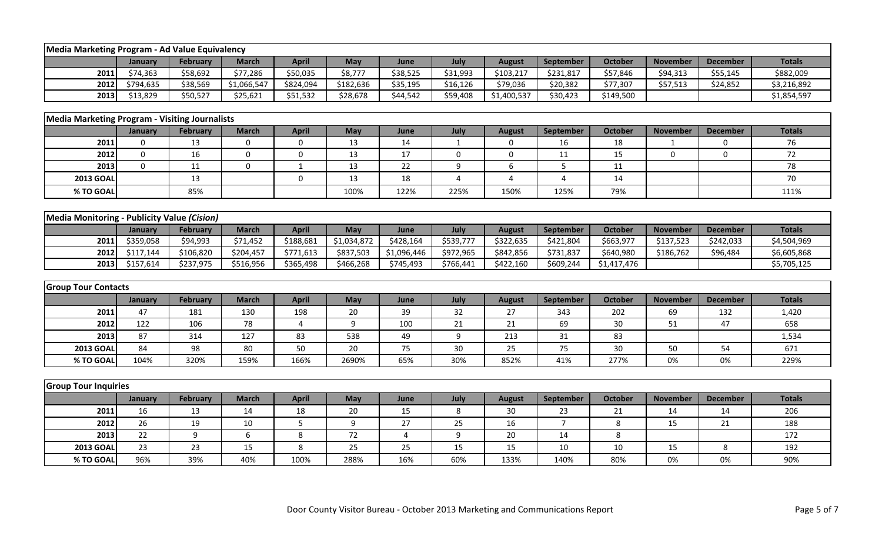| Media Marketing Program - Ad Value Equivalency        |             |                 |              |              |             |             |                 |               |                |                |                 |                 |               |
|-------------------------------------------------------|-------------|-----------------|--------------|--------------|-------------|-------------|-----------------|---------------|----------------|----------------|-----------------|-----------------|---------------|
|                                                       | January     | <b>February</b> | <b>March</b> | <b>April</b> | May         | June        | July            | <b>August</b> | September      | <b>October</b> | <b>November</b> | <b>December</b> | <b>Totals</b> |
| 2011                                                  | \$74,363    | \$58,692        | \$77,286     | \$50,035     | \$8,777     | \$38,525    | \$31,993        | \$103,217     | \$231,817      | \$57,846       | \$94,313        | \$55,145        | \$882,009     |
| 2012                                                  | \$794,635   | \$38,569        | \$1,066,547  | \$824,094    | \$182,636   | \$35,195    | \$16,126        | \$79,036      | \$20,382       | \$77,307       | \$57,513        | \$24,852        | \$3,216,892   |
| 2013                                                  | \$13,829    | \$50,527        | \$25,621     | \$51,532     | \$28,678    | \$44,542    | \$59,408        | \$1,400,537   | \$30,423       | \$149,500      |                 |                 | \$1,854,597   |
|                                                       |             |                 |              |              |             |             |                 |               |                |                |                 |                 |               |
| <b>Media Marketing Program - Visiting Journalists</b> |             |                 |              |              |             |             |                 |               |                |                |                 |                 |               |
|                                                       | January     | <b>February</b> | <b>March</b> | <b>April</b> | May         | June        | July            | <b>August</b> | September      | <b>October</b> | <b>November</b> | <b>December</b> | <b>Totals</b> |
| 2011                                                  | $\Omega$    | 13              | 0            | 0            | 13          | 14          | $\mathbf{1}$    | 0             | 16             | 18             | -1              | 0               | 76            |
| 2012                                                  | $\mathbf 0$ | 16              | $\mathbf 0$  | $\mathbf 0$  | 13          | 17          | $\mathbf 0$     | 0             | 11             | 15             | $\Omega$        | $\mathbf 0$     | 72            |
| 2013                                                  | $\Omega$    | 11              | $\mathbf{0}$ | $\mathbf{1}$ | 13          | 22          | 9               | 6             | 5              | 11             |                 |                 | 78            |
| <b>2013 GOAL</b>                                      |             | 13              |              | $\mathbf 0$  | 13          | 18          | 4               | 4             | 4              | 14             |                 |                 | 70            |
| % TO GOAL                                             |             | 85%             |              |              | 100%        | 122%        | 225%            | 150%          | 125%           | 79%            |                 |                 | 111%          |
|                                                       |             |                 |              |              |             |             |                 |               |                |                |                 |                 |               |
| Media Monitoring - Publicity Value (Cision)           |             |                 |              |              |             |             |                 |               |                |                |                 |                 |               |
|                                                       | January     | <b>February</b> | <b>March</b> | <b>April</b> | May         | June        | July            | <b>August</b> | September      | <b>October</b> | <b>November</b> | <b>December</b> | <b>Totals</b> |
| 2011                                                  | \$359,058   | \$94,993        | \$71,452     | \$188,681    | \$1,034,872 | \$428,164   | \$539,777       | \$322,635     | \$421,804      | \$663,977      | \$137,523       | \$242,033       | \$4,504,969   |
| 2012                                                  | \$117,144   | \$106,820       | \$204,457    | \$771,613    | \$837,503   | \$1,096,446 | \$972,965       | \$842,856     | \$731,837      | \$640,980      | \$186,762       | \$96,484        | \$6,605,868   |
| 2013                                                  | \$157,614   | \$237,975       | \$516,956    | \$365,498    | \$466,268   | \$745,493   | \$766,441       | \$422,160     | \$609,244      | \$1,417,476    |                 |                 | \$5,705,125   |
|                                                       |             |                 |              |              |             |             |                 |               |                |                |                 |                 |               |
| <b>Group Tour Contacts</b>                            |             |                 |              |              |             |             |                 |               |                |                |                 |                 |               |
|                                                       | January     | <b>February</b> | <b>March</b> | <b>April</b> | May         | June        | July            | <b>August</b> | September      | <b>October</b> | <b>November</b> | <b>December</b> | <b>Totals</b> |
| 2011                                                  | 47          | 181             | 130          | 198          | 20          | 39          | 32              | 27            | 343            | 202            | 69              | 132             | 1,420         |
| 2012                                                  | 122         | 106             | 78           | 4            | 9           | 100         | 21              | 21            | 69             | 30             | 51              | 47              | 658           |
| 2013                                                  | 87          | 314             | 127          | 83           | 538         | 49          | 9               | 213           | 31             | 83             |                 |                 | 1,534         |
| <b>2013 GOAL</b>                                      | 84          | 98              | 80           | 50           | 20          | 75          | 30 <sup>°</sup> | 25            | 75             | 30             | 50              | 54              | 671           |
| % TO GOAL                                             | 104%        | 320%            | 159%         | 166%         | 2690%       | 65%         | 30%             | 852%          | 41%            | 277%           | 0%              | 0%              | 229%          |
|                                                       |             |                 |              |              |             |             |                 |               |                |                |                 |                 |               |
| <b>Group Tour Inquiries</b>                           |             |                 |              |              |             |             |                 |               |                |                |                 |                 |               |
|                                                       | January     | <b>February</b> | <b>March</b> | <b>April</b> | May         | June        | July            | <b>August</b> | September      | <b>October</b> | <b>November</b> | <b>December</b> | <b>Totals</b> |
| 2011                                                  | 16          | 13              | 14           | 18           | 20          | 15          | 8               | 30            | 23             | 21             | 14              | 14              | 206           |
| 2012                                                  | 26          | 19              | 10           | 5            | $9\,$       | 27          | 25              | 16            | $\overline{7}$ | 8              | 15              | 21              | 188           |
| 2013                                                  | 22          | 9               | 6            | 8            | 72          | 4           | 9               | 20            | 14             | 8              |                 |                 | 172           |
| <b>2013 GOAL</b>                                      | 23          | 23              | 15           | 8            | 25          | 25          | 15              | 15            | 10             | 10             | 15              | 8               | 192           |
| % TO GOAL                                             | 96%         | 39%             | 40%          | 100%         | 288%        | 16%         | 60%             | 133%          | 140%           | 80%            | 0%              | 0%              | 90%           |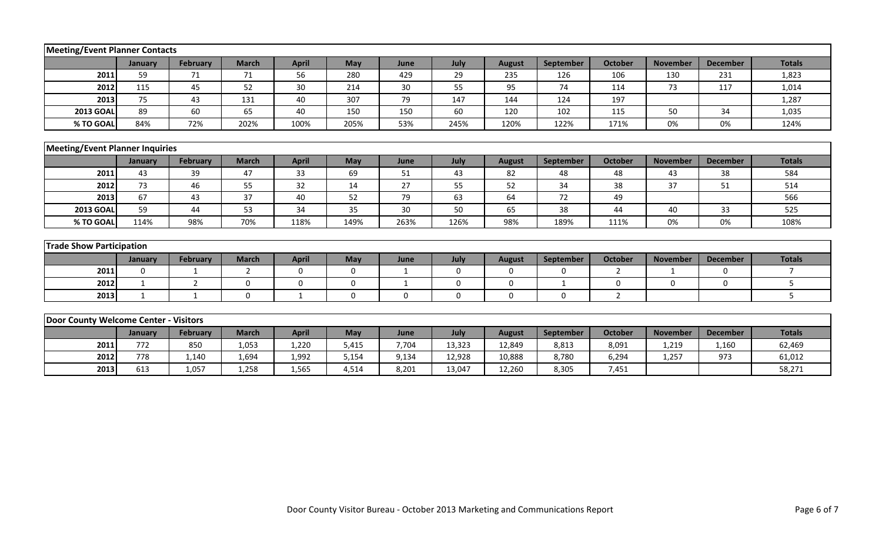| Meeting/Event Planner Contacts         |              |                 |                |              |             |              |             |               |                  |                |                 |                 |                |
|----------------------------------------|--------------|-----------------|----------------|--------------|-------------|--------------|-------------|---------------|------------------|----------------|-----------------|-----------------|----------------|
|                                        | January      | <b>February</b> | <b>March</b>   | <b>April</b> | May         | June         | July        | <b>August</b> | September        | <b>October</b> | <b>November</b> | <b>December</b> | <b>Totals</b>  |
| 2011                                   | 59           | 71              | 71             | 56           | 280         | 429          | 29          | 235           | 126              | 106            | 130             | 231             | 1,823          |
| 2012                                   | 115          | 45              | 52             | 30           | 214         | 30           | 55          | 95            | 74               | 114            | 73              | 117             | 1,014          |
| 2013                                   | 75           | 43              | 131            | 40           | 307         | 79           | 147         | 144           | 124              | 197            |                 |                 | 1,287          |
| <b>2013 GOAL</b>                       | 89           | 60              | 65             | 40           | 150         | 150          | 60          | 120           | 102              | 115            | 50              | 34              | 1,035          |
| % TO GOAL                              | 84%          | 72%             | 202%           | 100%         | 205%        | 53%          | 245%        | 120%          | 122%             | 171%           | 0%              | 0%              | 124%           |
|                                        |              |                 |                |              |             |              |             |               |                  |                |                 |                 |                |
| <b>Meeting/Event Planner Inquiries</b> |              |                 |                |              |             |              |             |               |                  |                |                 |                 |                |
|                                        | January      | <b>February</b> | <b>March</b>   | <b>April</b> | May         | June         | July        | <b>August</b> | September        | <b>October</b> | <b>November</b> | <b>December</b> | <b>Totals</b>  |
| 2011                                   | 43           | 39              | 47             | 33           | 69          | 51           | 43          | 82            | 48               | 48             | 43              | 38              | 584            |
| 2012                                   | 73           | 46              | 55             | 32           | 14          | 27           | 55          | 52            | 34               | 38             | 37              | 51              | 514            |
| 2013                                   | 67           | 43              | 37             | 40           | 52          | 79           | 63          | 64            | 72               | 49             |                 |                 | 566            |
| <b>2013 GOAL</b>                       | 59           | 44              | 53             | 34           | 35          | 30           | 50          | 65            | 38               | 44             | 40              | 33              | 525            |
| % TO GOAL                              | 114%         | 98%             | 70%            | 118%         | 149%        | 263%         | 126%        | 98%           | 189%             | 111%           | 0%              | 0%              | 108%           |
|                                        |              |                 |                |              |             |              |             |               |                  |                |                 |                 |                |
| <b>Trade Show Participation</b>        |              |                 |                |              |             |              |             |               |                  |                |                 |                 |                |
|                                        | January      | <b>February</b> | <b>March</b>   | <b>April</b> | May         | June         | July        | <b>August</b> | <b>September</b> | <b>October</b> | <b>November</b> | <b>December</b> | <b>Totals</b>  |
| 2011                                   | $\Omega$     | $\mathbf{1}$    | $\overline{2}$ | $\mathbf 0$  | 0           | $\mathbf{1}$ | $\mathbf 0$ | $\mathbf 0$   | $\mathbf 0$      | $\overline{2}$ | 1               | $\mathbf 0$     | $\overline{7}$ |
| 2012                                   | $\mathbf{1}$ | 2               | $\mathbf{0}$   | 0            | 0           | $\mathbf{1}$ | 0           | 0             | $\mathbf{1}$     | 0              | 0               | 0               | 5              |
| 2013                                   | $\mathbf{1}$ | $\mathbf{1}$    | $\mathbf 0$    | -1           | $\mathbf 0$ | 0            | $\mathbf 0$ | $\mathbf 0$   | $\mathbf 0$      | $\overline{2}$ |                 |                 | 5              |
|                                        |              |                 |                |              |             |              |             |               |                  |                |                 |                 |                |
| Door County Welcome Center - Visitors  |              |                 |                |              |             |              |             |               |                  |                |                 |                 |                |
|                                        | January      | February        | <b>March</b>   | <b>April</b> | May         | June         | July        | <b>August</b> | September        | October        | <b>November</b> | <b>December</b> | <b>Totals</b>  |
| 2011                                   | 772          | 850             | 1,053          | 1,220        | 5,415       | 7,704        | 13,323      | 12,849        | 8,813            | 8,091          | 1,219           | 1,160           | 62,469         |
| 2012                                   | 778          | 1,140           | 1,694          | 1,992        | 5,154       | 9,134        | 12,928      | 10,888        | 8,780            | 6,294          | 1,257           | 973             | 61,012         |
| 2013                                   | 613          | 1,057           | 1,258          | 1,565        | 4,514       | 8,201        | 13,047      | 12,260        | 8,305            | 7,451          |                 |                 | 58,271         |